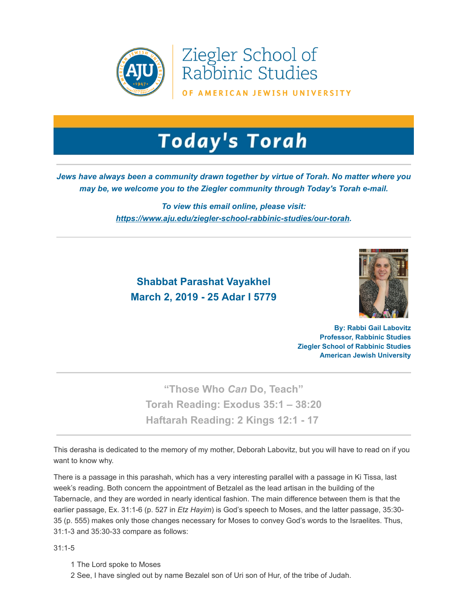

Ziegler School of<br>Rabbinic Studies

OF AMERICAN JEWISH UNIVERSITY

## **Today's Torah**

## *Jews have always been a community drawn together by virtue of Torah. No matter where you may be, we welcome you to the Ziegler community through Today's Torah e-mail.*

*To view this email online, please visit: [https://www.aju.edu/ziegler-school-rabbinic-studies/our-torah](https://t.e2ma.net/click/c3iy6/sziwr0/garg5i).*

## **Shabbat Parashat Vayakhel March 2, 2019 - 25 Adar I 5779**



**By: Rabbi Gail Labovitz Professor, Rabbinic Studies Ziegler School of Rabbinic Studies American Jewish University**

**"Those Who** *Can* **Do, Teach" Torah Reading: [Exodus 35:1 – 38:20](https://t.e2ma.net/click/c3iy6/sziwr0/w2rg5i) Haftarah Reading: [2 Kings 12:1 - 17](https://t.e2ma.net/click/c3iy6/sziwr0/cvsg5i)**

This derasha is dedicated to the memory of my mother, Deborah Labovitz, but you will have to read on if you want to know why.

There is a passage in this parashah, which has a very interesting parallel with a passage in Ki Tissa, last week's reading. Both concern the appointment of Betzalel as the lead artisan in the building of the Tabernacle, and they are worded in nearly identical fashion. The main difference between them is that the earlier passage, Ex. 31:1-6 (p. 527 in *Etz Hayim*) is God's speech to Moses, and the latter passage, 35:30- 35 (p. 555) makes only those changes necessary for Moses to convey God's words to the Israelites. Thus, 31:1-3 and 35:30-33 compare as follows:

31:1-5

- 1 The Lord spoke to Moses
- 2 See, I have singled out by name Bezalel son of Uri son of Hur, of the tribe of Judah.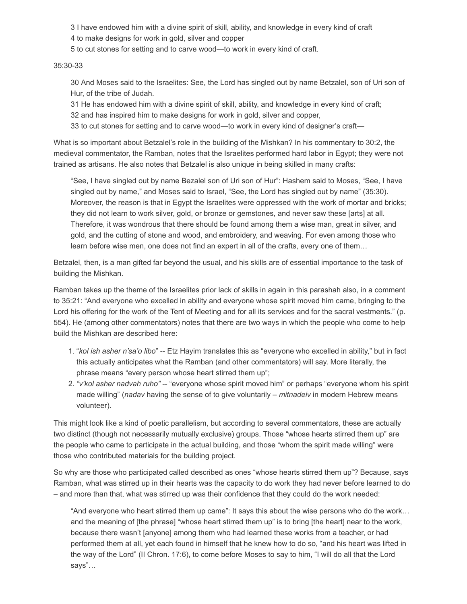3 I have endowed him with a divine spirit of skill, ability, and knowledge in every kind of craft

4 to make designs for work in gold, silver and copper

5 to cut stones for setting and to carve wood—to work in every kind of craft.

## 35:30-33

30 And Moses said to the Israelites: See, the Lord has singled out by name Betzalel, son of Uri son of Hur, of the tribe of Judah.

31 He has endowed him with a divine spirit of skill, ability, and knowledge in every kind of craft;

32 and has inspired him to make designs for work in gold, silver and copper,

33 to cut stones for setting and to carve wood—to work in every kind of designer's craft—

What is so important about Betzalel's role in the building of the Mishkan? In his commentary to 30:2, the medieval commentator, the Ramban, notes that the Israelites performed hard labor in Egypt; they were not trained as artisans. He also notes that Betzalel is also unique in being skilled in many crafts:

"See, I have singled out by name Bezalel son of Uri son of Hur": Hashem said to Moses, "See, I have singled out by name," and Moses said to Israel, "See, the Lord has singled out by name" (35:30). Moreover, the reason is that in Egypt the Israelites were oppressed with the work of mortar and bricks; they did not learn to work silver, gold, or bronze or gemstones, and never saw these [arts] at all. Therefore, it was wondrous that there should be found among them a wise man, great in silver, and gold, and the cutting of stone and wood, and embroidery, and weaving. For even among those who learn before wise men, one does not find an expert in all of the crafts, every one of them…

Betzalel, then, is a man gifted far beyond the usual, and his skills are of essential importance to the task of building the Mishkan.

Ramban takes up the theme of the Israelites prior lack of skills in again in this parashah also, in a comment to 35:21: "And everyone who excelled in ability and everyone whose spirit moved him came, bringing to the Lord his offering for the work of the Tent of Meeting and for all its services and for the sacral vestments." (p. 554). He (among other commentators) notes that there are two ways in which the people who come to help build the Mishkan are described here:

- 1. "*kol ish asher n'sa'o libo*" -- Etz Hayim translates this as "everyone who excelled in ability," but in fact this actually anticipates what the Ramban (and other commentators) will say. More literally, the phrase means "every person whose heart stirred them up";
- 2. *"v'kol asher nadvah ruho"* -- "everyone whose spirit moved him" or perhaps "everyone whom his spirit made willing" (*nadav* having the sense of to give voluntarily – *mitnadeiv* in modern Hebrew means volunteer).

This might look like a kind of poetic parallelism, but according to several commentators, these are actually two distinct (though not necessarily mutually exclusive) groups. Those "whose hearts stirred them up" are the people who came to participate in the actual building, and those "whom the spirit made willing" were those who contributed materials for the building project.

So why are those who participated called described as ones "whose hearts stirred them up"? Because, says Ramban, what was stirred up in their hearts was the capacity to do work they had never before learned to do – and more than that, what was stirred up was their confidence that they could do the work needed:

"And everyone who heart stirred them up came": It says this about the wise persons who do the work… and the meaning of [the phrase] "whose heart stirred them up" is to bring [the heart] near to the work, because there wasn't [anyone] among them who had learned these works from a teacher, or had performed them at all, yet each found in himself that he knew how to do so, "and his heart was lifted in the way of the Lord" (II Chron. 17:6), to come before Moses to say to him, "I will do all that the Lord says"…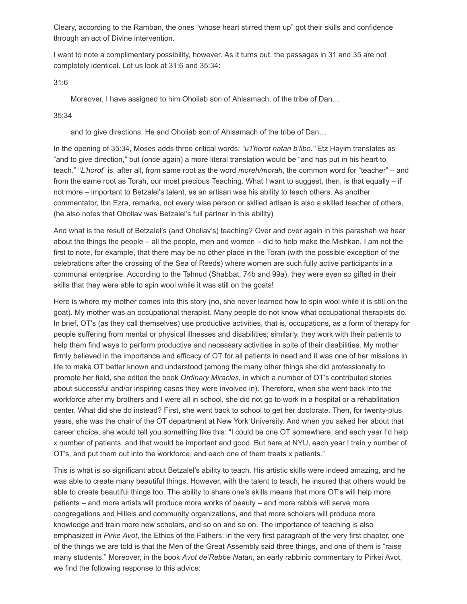Cleary, according to the Ramban, the ones "whose heart stirred them up" got their skills and confidence through an act of Divine intervention.

I want to note a complimentary possibility, however. As it turns out, the passages in 31 and 35 are not completely identical. Let us look at 31:6 and 35:34:

31:6

Moreover, I have assigned to him Oholiab son of Ahisamach, of the tribe of Dan…

35:34

and to give directions. He and Oholiab son of Ahisamach of the tribe of Dan…

In the opening of 35:34, Moses adds three critical words: *"u'l'horot natan b'libo."* Etz Hayim translates as "and to give direction," but (once again) a more literal translation would be "and has put in his heart to teach." "*L'horot*" is, after all, from same root as the word *moreh/morah*, the common word for "teacher" – and from the same root as Torah, our most precious Teaching. What I want to suggest, then, is that equally – if not more – important to Betzalel's talent, as an artisan was his ability to teach others. As another commentator, Ibn Ezra, remarks, not every wise person or skilled artisan is also a skilled teacher of others, (he also notes that Oholiav was Betzalel's full partner in this ability)

And what is the result of Betzalel's (and Oholiav's) teaching? Over and over again in this parashah we hear about the things the people – all the people, men and women – did to help make the Mishkan. I am not the first to note, for example, that there may be no other place in the Torah (with the possible exception of the celebrations after the crossing of the Sea of Reeds) where women are such fully active participants in a communal enterprise. According to the Talmud (Shabbat, 74b and 99a), they were even so gifted in their skills that they were able to spin wool while it was still on the goats!

Here is where my mother comes into this story (no, she never learned how to spin wool while it is still on the goat). My mother was an occupational therapist. Many people do not know what occupational therapists do. In brief, OT's (as they call themselves) use productive activities, that is, occupations, as a form of therapy for people suffering from mental or physical illnesses and disabilities; similarly, they work with their patients to help them find ways to perform productive and necessary activities in spite of their disabilities. My mother firmly believed in the importance and efficacy of OT for all patients in need and it was one of her missions in life to make OT better known and understood (among the many other things she did professionally to promote her field, she edited the book *Ordinary Miracles*, in which a number of OT's contributed stories about successful and/or inspiring cases they were involved in). Therefore, when she went back into the workforce after my brothers and I were all in school, she did not go to work in a hospital or a rehabilitation center. What did she do instead? First, she went back to school to get her doctorate. Then, for twenty-plus years, she was the chair of the OT department at New York University. And when you asked her about that career choice, she would tell you something like this: "I could be one OT somewhere, and each year I'd help x number of patients, and that would be important and good. But here at NYU, each year I train y number of OT's, and put them out into the workforce, and each one of them treats x patients."

This is what is so significant about Betzalel's ability to teach. His artistic skills were indeed amazing, and he was able to create many beautiful things. However, with the talent to teach, he insured that others would be able to create beautiful things too. The ability to share one's skills means that more OT's will help more patients – and more artists will produce more works of beauty – and more rabbis will serve more congregations and Hillels and community organizations, and that more scholars will produce more knowledge and train more new scholars, and so on and so on. The importance of teaching is also emphasized in *Pirke Avot*, the Ethics of the Fathers: in the very first paragraph of the very first chapter, one of the things we are told is that the Men of the Great Assembly said three things, and one of them is "raise many students." Moreover, in the book *Avot de'Rebbe Natan*, an early rabbinic commentary to Pirkei Avot, we find the following response to this advice: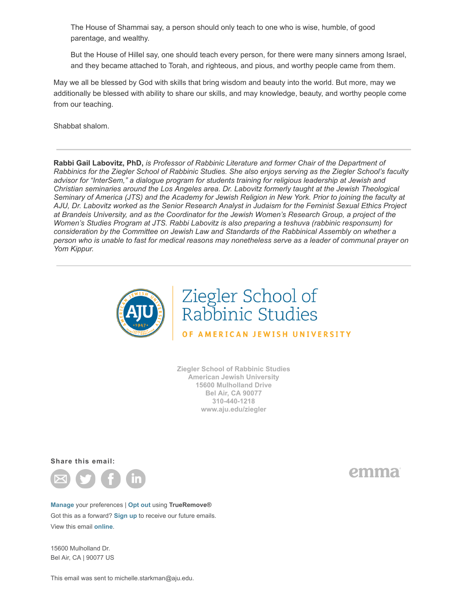The House of Shammai say, a person should only teach to one who is wise, humble, of good parentage, and wealthy.

But the House of Hillel say, one should teach every person, for there were many sinners among Israel, and they became attached to Torah, and righteous, and pious, and worthy people came from them.

May we all be blessed by God with skills that bring wisdom and beauty into the world. But more, may we additionally be blessed with ability to share our skills, and may knowledge, beauty, and worthy people come from our teaching.

Shabbat shalom.

**Rabbi Gail Labovitz, PhD,** *is Professor of Rabbinic Literature and former Chair of the Department of Rabbinics for the Ziegler School of Rabbinic Studies. She also enjoys serving as the Ziegler School's faculty advisor for "InterSem," a dialogue program for students training for religious leadership at Jewish and Christian seminaries around the Los Angeles area. Dr. Labovitz formerly taught at the Jewish Theological Seminary of America (JTS) and the Academy for Jewish Religion in New York. Prior to joining the faculty at AJU, Dr. Labovitz worked as the Senior Research Analyst in Judaism for the Feminist Sexual Ethics Project at Brandeis University, and as the Coordinator for the Jewish Women's Research Group, a project of the Women's Studies Program at JTS. Rabbi Labovitz is also preparing a teshuva (rabbinic responsum) for consideration by the Committee on Jewish Law and Standards of the Rabbinical Assembly on whether a person who is unable to fast for medical reasons may nonetheless serve as a leader of communal prayer on Yom Kippur.*



**Ziegler School of Rabbinic Studies American Jewish University 15600 Mulholland Drive Bel Air, CA 90077 310-440-1218 www.aju.edu/ziegler**

**Share this email:**



**[Manage](https://app.e2ma.net/app2/audience/signup/1812694/1771158/1601711766/?s=6i9wWAvOjs8XiFeBEZ1fRFwd06sOshLjISGN8eHgubg)** your preferences | **[Opt out](https://t.e2ma.net/optout/c3iy6/sziwr0?s=3v8BDH-eBA4ZUegHOk6bJ4T20ogavOCIQxenvYzPIhk&r=aHR0cHM6Ly9hcHAuZTJtYS5uZXQvYXBwMi9hdWRpZW5jZS9vcHRfb3V0LzE4MTI2OTQvMTc3MTE1OC8xNjAxNzExNzY2Lz9zPUt4OUZqbkZVLWs3djBmcGtOOEZ6Q1NfTklKSFNpSURzS3g3SHBnSmlWbkE%3D)** using **TrueRemove®** Got this as a forward? **[Sign up](https://app.e2ma.net/app2/audience/signup/1812694/1771158.54878870/)** to receive our future emails. View this email **[online](https://t.e2ma.net/message/c3iy6/sziwr0)**.

15600 Mulholland Dr. Bel Air, CA | 90077 US emma

[This email was sent to michelle.starkman@aju.edu.](https://t.e2ma.net/message/c3iy6/michelle.starkman@aju.edu)